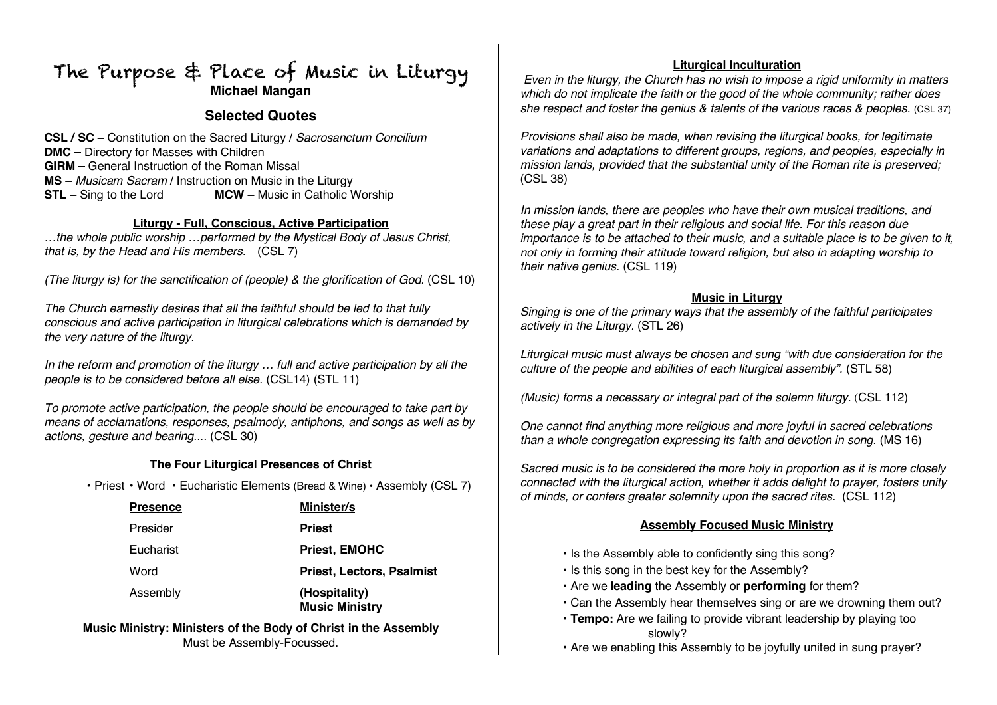# The Purpose & Place of Music in Liturgy **Michael Mangan**

# **Selected Quotes**

**CSL / SC –** Constitution on the Sacred Liturgy / *Sacrosanctum Concilium* **DMC –** Directory for Masses with Children **GIRM –** General Instruction of the Roman Missal **MS –** *Musicam Sacram* / Instruction on Music in the Liturgy **STL –** Sing to the Lord **MCW –** Music in Catholic Worship

#### **Liturgy - Full, Conscious, Active Participation**

*…the whole public worship …performed by the Mystical Body of Jesus Christ, that is, by the Head and His members.* (CSL 7)

*(The liturgy is) for the sanctification of (people) & the glorification of God.* (CSL 10)

*The Church earnestly desires that all the faithful should be led to that fully conscious and active participation in liturgical celebrations which is demanded by the very nature of the liturgy.*

*In the reform and promotion of the liturgy … full and active participation by all the people is to be considered before all else.* (CSL14) (STL 11)

*To promote active participation, the people should be encouraged to take part by means of acclamations, responses, psalmody, antiphons, and songs as well as by actions, gesture and bearing....* (CSL 30)

#### **The Four Liturgical Presences of Christ**

• Priest • Word • Eucharistic Elements (Bread & Wine) • Assembly (CSL 7)

| <b>Presence</b> | <b>Minister/s</b>                      |
|-----------------|----------------------------------------|
| Presider        | <b>Priest</b>                          |
| Eucharist       | <b>Priest, EMOHC</b>                   |
| Word            | <b>Priest, Lectors, Psalmist</b>       |
| Assembly        | (Hospitality)<br><b>Music Ministry</b> |

**Music Ministry: Ministers of the Body of Christ in the Assembly** Must be Assembly-Focussed.

#### **Liturgical Inculturation**

*Even in the liturgy, the Church has no wish to impose a rigid uniformity in matters which do not implicate the faith or the good of the whole community; rather does she respect and foster the genius & talents of the various races & peoples.* (CSL 37)

*Provisions shall also be made, when revising the liturgical books, for legitimate variations and adaptations to different groups, regions, and peoples, especially in mission lands, provided that the substantial unity of the Roman rite is preserved;*  (CSL 38)

*In mission lands, there are peoples who have their own musical traditions, and these play a great part in their religious and social life. For this reason due importance is to be attached to their music, and a suitable place is to be given to it, not only in forming their attitude toward religion, but also in adapting worship to their native genius.* (CSL 119)

#### **Music in Liturgy**

*Singing is one of the primary ways that the assembly of the faithful participates actively in the Liturgy.* (STL 26)

*Liturgical music must always be chosen and sung "with due consideration for the culture of the people and abilities of each liturgical assembly".* (STL 58)

*(Music) forms a necessary or integral part of the solemn liturgy.* (CSL 112)

*One cannot find anything more religious and more joyful in sacred celebrations than a whole congregation expressing its faith and devotion in song.* (MS 16)

*Sacred music is to be considered the more holy in proportion as it is more closely connected with the liturgical action, whether it adds delight to prayer, fosters unity of minds, or confers greater solemnity upon the sacred rites.* (CSL 112)

## **Assembly Focused Music Ministry**

- Is the Assembly able to confidently sing this song?
- Is this song in the best key for the Assembly?
- Are we **leading** the Assembly or **performing** for them?
- Can the Assembly hear themselves sing or are we drowning them out?
- **Tempo:** Are we failing to provide vibrant leadership by playing too slowly?
- Are we enabling this Assembly to be joyfully united in sung prayer?